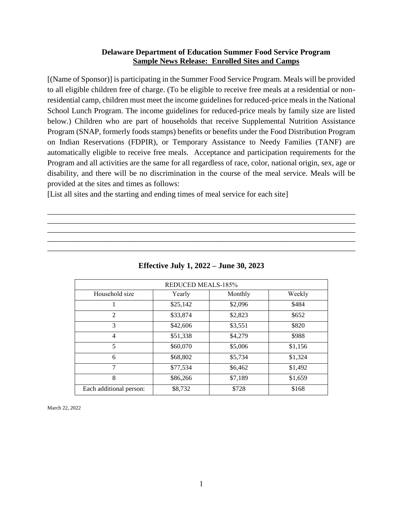## **Delaware Department of Education Summer Food Service Program Sample News Release: Enrolled Sites and Camps**

[(Name of Sponsor)] is participating in the Summer Food Service Program. Meals will be provided to all eligible children free of charge. (To be eligible to receive free meals at a residential or nonresidential camp, children must meet the income guidelines for reduced-price meals in the National School Lunch Program. The income guidelines for reduced-price meals by family size are listed below.) Children who are part of households that receive Supplemental Nutrition Assistance Program (SNAP, formerly foods stamps) benefits or benefits under the Food Distribution Program on Indian Reservations (FDPIR), or Temporary Assistance to Needy Families (TANF) are automatically eligible to receive free meals. Acceptance and participation requirements for the Program and all activities are the same for all regardless of race, color, national origin, sex, age or disability, and there will be no discrimination in the course of the meal service. Meals will be provided at the sites and times as follows:

[List all sites and the starting and ending times of meal service for each site]

| <b>REDUCED MEALS-185%</b> |          |         |         |
|---------------------------|----------|---------|---------|
| Household size            | Yearly   | Monthly | Weekly  |
|                           | \$25,142 | \$2,096 | \$484   |
| $\mathfrak{D}$            | \$33,874 | \$2,823 | \$652   |
| 3                         | \$42,606 | \$3,551 | \$820   |
| 4                         | \$51,338 | \$4,279 | \$988   |
| 5                         | \$60,070 | \$5,006 | \$1,156 |
| 6                         | \$68,802 | \$5,734 | \$1,324 |
| 7                         | \$77,534 | \$6,462 | \$1,492 |
| 8                         | \$86,266 | \$7,189 | \$1,659 |
| Each additional person:   | \$8,732  | \$728   | \$168   |

**Effective July 1, 2022 – June 30, 2023**

\_\_\_\_\_\_\_\_\_\_\_\_\_\_\_\_\_\_\_\_\_\_\_\_\_\_\_\_\_\_\_\_\_\_\_\_\_\_\_\_\_\_\_\_\_\_\_\_\_\_\_\_\_\_\_\_\_\_\_\_\_\_\_\_\_\_\_\_\_\_\_\_\_\_\_\_\_\_ \_\_\_\_\_\_\_\_\_\_\_\_\_\_\_\_\_\_\_\_\_\_\_\_\_\_\_\_\_\_\_\_\_\_\_\_\_\_\_\_\_\_\_\_\_\_\_\_\_\_\_\_\_\_\_\_\_\_\_\_\_\_\_\_\_\_\_\_\_\_\_\_\_\_\_\_\_\_ \_\_\_\_\_\_\_\_\_\_\_\_\_\_\_\_\_\_\_\_\_\_\_\_\_\_\_\_\_\_\_\_\_\_\_\_\_\_\_\_\_\_\_\_\_\_\_\_\_\_\_\_\_\_\_\_\_\_\_\_\_\_\_\_\_\_\_\_\_\_\_\_\_\_\_\_\_\_ \_\_\_\_\_\_\_\_\_\_\_\_\_\_\_\_\_\_\_\_\_\_\_\_\_\_\_\_\_\_\_\_\_\_\_\_\_\_\_\_\_\_\_\_\_\_\_\_\_\_\_\_\_\_\_\_\_\_\_\_\_\_\_\_\_\_\_\_\_\_\_\_\_\_\_\_\_\_ \_\_\_\_\_\_\_\_\_\_\_\_\_\_\_\_\_\_\_\_\_\_\_\_\_\_\_\_\_\_\_\_\_\_\_\_\_\_\_\_\_\_\_\_\_\_\_\_\_\_\_\_\_\_\_\_\_\_\_\_\_\_\_\_\_\_\_\_\_\_\_\_\_\_\_\_\_\_

March 22, 2022